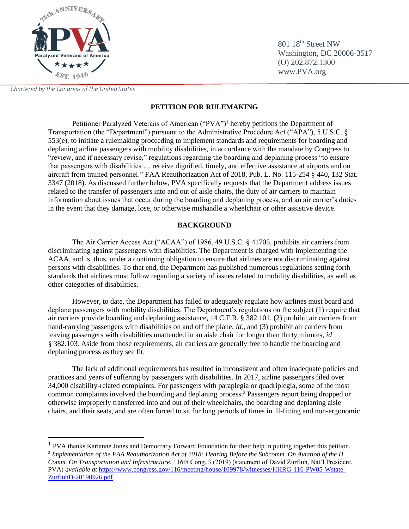

801 18<sup>th</sup> Street NW Washington, DC 20006-3517 (O) 202.872.1300 www.PVA.org

*Chartered by the Congress of the United States*

# **PETITION FOR RULEMAKING**

Petitioner Paralyzed Veterans of American ("PVA")<sup>1</sup> hereby petitions the Department of Transportation (the "Department") pursuant to the Administrative Procedure Act ("APA"), 5 U.S.C. § 553(e), to initiate a rulemaking proceeding to implement standards and requirements for boarding and deplaning airline passengers with mobility disabilities, in accordance with the mandate by Congress to "review, and if necessary revise," regulations regarding the boarding and deplaning process "to ensure that passengers with disabilities … receive dignified, timely, and effective assistance at airports and on aircraft from trained personnel." FAA Reauthorization Act of 2018, Pub. L. No. 115-254 § 440, 132 Stat. 3347 (2018). As discussed further below, PVA specifically requests that the Department address issues related to the transfer of passengers into and out of aisle chairs, the duty of air carriers to maintain information about issues that occur during the boarding and deplaning process, and an air carrier's duties in the event that they damage, lose, or otherwise mishandle a wheelchair or other assistive device.

## **BACKGROUND**

The Air Carrier Access Act ("ACAA") of 1986, 49 U.S.C. § 41705, prohibits air carriers from discriminating against passengers with disabilities. The Department is charged with implementing the ACAA, and is, thus, under a continuing obligation to ensure that airlines are not discriminating against persons with disabilities. To that end, the Department has published numerous regulations setting forth standards that airlines must follow regarding a variety of issues related to mobility disabilities, as well as other categories of disabilities.

However, to date, the Department has failed to adequately regulate how airlines must board and deplane passengers with mobility disabilities. The Department's regulations on the subject (1) require that air carriers provide boarding and deplaning assistance, 14 C.F.R. § 382.101, (2) prohibit air carriers from hand-carrying passengers with disabilities on and off the plane, *id.*, and (3) prohibit air carriers from leaving passengers with disabilities unattended in an aisle chair for longer than thirty minutes, *id*  § 382.103*.* Aside from those requirements, air carriers are generally free to handle the boarding and deplaning process as they see fit.

The lack of additional requirements has resulted in inconsistent and often inadequate policies and practices and years of suffering by passengers with disabilities. In 2017, airline passengers filed over 34,000 disability-related complaints. For passengers with paraplegia or quadriplegia, some of the most common complaints involved the boarding and deplaning process.<sup>2</sup> Passengers report being dropped or otherwise improperly transferred into and out of their wheelchairs, the boarding and deplaning aisle chairs, and their seats, and are often forced to sit for long periods of times in ill-fitting and non-ergonomic

<sup>&</sup>lt;sup>1</sup> PVA thanks Karianne Jones and Democracy Forward Foundation for their help in putting together this petition. <sup>2</sup> Implementation of the FAA Reauthorization Act of 2018: Hearing Before the Subcomm. On Aviation of the H. *Comm. On Transportation and Infrastructure*, 116th Cong. 3 (2019) (statement of David Zurfluh, Nat'l President, PVA) *available at* [https://www.congress.gov/116/meeting/house/109978/witnesses/HHRG-116-PW05-Wstate-](https://www.congress.gov/116/meeting/house/109978/witnesses/HHRG-116-PW05-Wstate-ZurfluhD-20190926.pdf)[ZurfluhD-20190926.pdf.](https://www.congress.gov/116/meeting/house/109978/witnesses/HHRG-116-PW05-Wstate-ZurfluhD-20190926.pdf)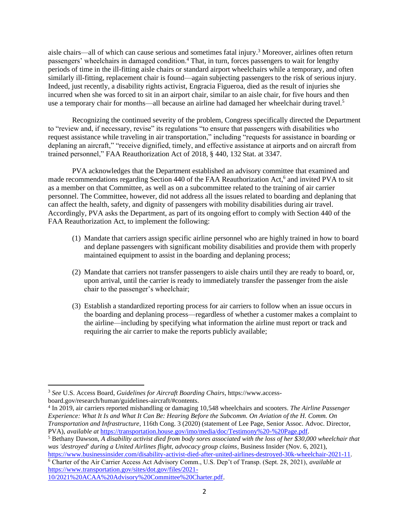<span id="page-1-0"></span>aisle chairs—all of which can cause serious and sometimes fatal injury.<sup>3</sup> Moreover, airlines often return passengers' wheelchairs in damaged condition.<sup>4</sup> That, in turn, forces passengers to wait for lengthy periods of time in the ill-fitting aisle chairs or standard airport wheelchairs while a temporary, and often similarly ill-fitting, replacement chair is found—again subjecting passengers to the risk of serious injury. Indeed, just recently, a disability rights activist, Engracia Figueroa, died as the result of injuries she incurred when she was forced to sit in an airport chair, similar to an aisle chair, for five hours and then use a temporary chair for months—all because an airline had damaged her wheelchair during travel.<sup>5</sup>

Recognizing the continued severity of the problem, Congress specifically directed the Department to "review and, if necessary, revise" its regulations "to ensure that passengers with disabilities who request assistance while traveling in air transportation," including "requests for assistance in boarding or deplaning an aircraft," "receive dignified, timely, and effective assistance at airports and on aircraft from trained personnel," FAA Reauthorization Act of 2018, § 440, 132 Stat. at 3347.

PVA acknowledges that the Department established an advisory committee that examined and made recommendations regarding Section 440 of the FAA Reauthorization Act,<sup>6</sup> and invited PVA to sit as a member on that Committee, as well as on a subcommittee related to the training of air carrier personnel. The Committee, however, did not address all the issues related to boarding and deplaning that can affect the health, safety, and dignity of passengers with mobility disabilities during air travel. Accordingly, PVA asks the Department, as part of its ongoing effort to comply with Section 440 of the FAA Reauthorization Act, to implement the following:

- (1) Mandate that carriers assign specific airline personnel who are highly trained in how to board and deplane passengers with significant mobility disabilities and provide them with properly maintained equipment to assist in the boarding and deplaning process;
- (2) Mandate that carriers not transfer passengers to aisle chairs until they are ready to board, or, upon arrival, until the carrier is ready to immediately transfer the passenger from the aisle chair to the passenger's wheelchair;
- (3) Establish a standardized reporting process for air carriers to follow when an issue occurs in the boarding and deplaning process—regardless of whether a customer makes a complaint to the airline—including by specifying what information the airline must report or track and requiring the air carrier to make the reports publicly available;

4 In 2019, air carriers reported mishandling or damaging 10,548 wheelchairs and scooters. *The Airline Passenger Experience: What It Is and What It Can Be: Hearing Before the Subcomm. On Aviation of the H. Comm. On Transportation and Infrastructure*, 116th Cong. 3 (2020) (statement of Lee Page, Senior Assoc. Advoc. Director, PVA), *available at* [https://transportation.house.gov/imo/media/doc/Testimony%20-%20Page.pdf.](https://transportation.house.gov/imo/media/doc/Testimony%20-%20Page.pdf)

<sup>6</sup> Charter of the Air Carrier Access Act Advisory Comm., U.S. Dep't of Transp. (Sept. 28, 2021), *available at* [https://www.transportation.gov/sites/dot.gov/files/2021-](https://www.transportation.gov/sites/dot.gov/files/2021-10/2021%20ACAA%20Advisory%20Committee%20Charter.pdf)

[10/2021%20ACAA%20Advisory%20Committee%20Charter.pdf.](https://www.transportation.gov/sites/dot.gov/files/2021-10/2021%20ACAA%20Advisory%20Committee%20Charter.pdf)

<sup>3</sup> *See* U.S. Access Board, *Guidelines for Aircraft Boarding Chairs*, https://www.accessboard.gov/research/human/guidelines-aircraft/#contents.

<sup>5</sup> Bethany Dawson, *A disability activist died from body sores associated with the loss of her \$30,000 wheelchair that was 'destroyed' during a United Airlines flight, advocacy group claims*, Business Insider (Nov. 6, 2021), [https://www.businessinsider.com/disability-activist-died-after-united-airlines-destroyed-30k-wheelchair-2021-11.](https://www.businessinsider.com/disability-activist-died-after-united-airlines-destroyed-30k-wheelchair-2021-11)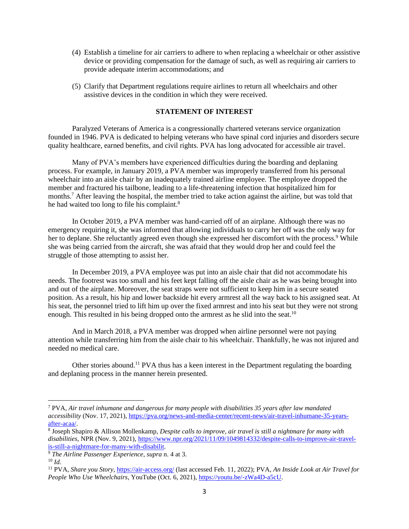- (4) Establish a timeline for air carriers to adhere to when replacing a wheelchair or other assistive device or providing compensation for the damage of such, as well as requiring air carriers to provide adequate interim accommodations; and
- (5) Clarify that Department regulations require airlines to return all wheelchairs and other assistive devices in the condition in which they were received.

### **STATEMENT OF INTEREST**

Paralyzed Veterans of America is a congressionally chartered veterans service organization founded in 1946. PVA is dedicated to helping veterans who have spinal cord injuries and disorders secure quality healthcare, earned benefits, and civil rights. PVA has long advocated for accessible air travel.

Many of PVA's members have experienced difficulties during the boarding and deplaning process. For example, in January 2019, a PVA member was improperly transferred from his personal wheelchair into an aisle chair by an inadequately trained airline employee. The employee dropped the member and fractured his tailbone, leading to a life-threatening infection that hospitalized him for months.<sup>7</sup> After leaving the hospital, the member tried to take action against the airline, but was told that he had waited too long to file his complaint.<sup>8</sup>

In October 2019, a PVA member was hand-carried off of an airplane. Although there was no emergency requiring it, she was informed that allowing individuals to carry her off was the only way for her to deplane. She reluctantly agreed even though she expressed her discomfort with the process.<sup>9</sup> While she was being carried from the aircraft, she was afraid that they would drop her and could feel the struggle of those attempting to assist her.

In December 2019, a PVA employee was put into an aisle chair that did not accommodate his needs. The footrest was too small and his feet kept falling off the aisle chair as he was being brought into and out of the airplane. Moreover, the seat straps were not sufficient to keep him in a secure seated position. As a result, his hip and lower backside hit every armrest all the way back to his assigned seat. At his seat, the personnel tried to lift him up over the fixed armrest and into his seat but they were not strong enough. This resulted in his being dropped onto the armrest as he slid into the seat.<sup>10</sup>

And in March 2018, a PVA member was dropped when airline personnel were not paying attention while transferring him from the aisle chair to his wheelchair. Thankfully, he was not injured and needed no medical care.

Other stories abound.<sup>11</sup> PVA thus has a keen interest in the Department regulating the boarding and deplaning process in the manner herein presented.

<sup>7</sup> PVA, *Air travel inhumane and dangerous for many people with disabilities 35 years after law mandated accessibility* (Nov. 17, 2021), [https://pva.org/news-and-media-center/recent-news/air-travel-inhumane-35-years](https://pva.org/news-and-media-center/recent-news/air-travel-inhumane-35-years-after-acaa/)[after-acaa/.](https://pva.org/news-and-media-center/recent-news/air-travel-inhumane-35-years-after-acaa/)

<sup>8</sup> Joseph Shapiro & Allison Mollenkamp, *Despite calls to improve, air travel is still a nightmare for many with disabilities*, NPR (Nov. 9, 2021)[, https://www.npr.org/2021/11/09/1049814332/despite-calls-to-improve-air-travel](https://www.npr.org/2021/11/09/1049814332/despite-calls-to-improve-air-travel-is-still-a-nightmare-for-many-with-disabilit)[is-still-a-nightmare-for-many-with-disabilit.](https://www.npr.org/2021/11/09/1049814332/despite-calls-to-improve-air-travel-is-still-a-nightmare-for-many-with-disabilit)

<sup>9</sup> *The Airline Passenger Experience*, *supra* n. [4](#page-1-0) at 3.  $10 \, Id.$ 

<sup>11</sup> PVA, *Share you Story*,<https://air-access.org/> (last accessed Feb. 11, 2022); PVA, *An Inside Look at Air Travel for People Who Use Wheelchairs*, YouTube (Oct. 6, 2021)[, https://youtu.be/-zWa4D-a5cU.](https://youtu.be/-zWa4D-a5cU)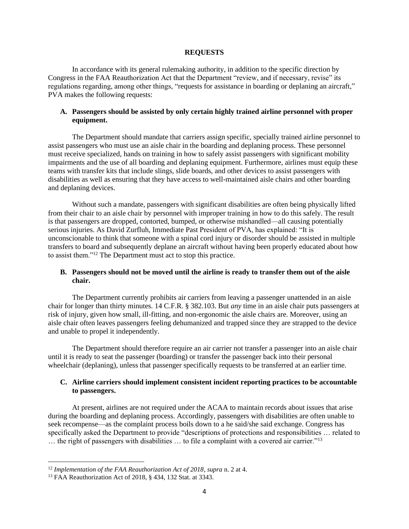#### **REQUESTS**

In accordance with its general rulemaking authority, in addition to the specific direction by Congress in the FAA Reauthorization Act that the Department "review, and if necessary, revise" its regulations regarding, among other things, "requests for assistance in boarding or deplaning an aircraft," PVA makes the following requests:

### **A. Passengers should be assisted by only certain highly trained airline personnel with proper equipment.**

The Department should mandate that carriers assign specific, specially trained airline personnel to assist passengers who must use an aisle chair in the boarding and deplaning process. These personnel must receive specialized, hands on training in how to safely assist passengers with significant mobility impairments and the use of all boarding and deplaning equipment. Furthermore, airlines must equip these teams with transfer kits that include slings, slide boards, and other devices to assist passengers with disabilities as well as ensuring that they have access to well-maintained aisle chairs and other boarding and deplaning devices.

Without such a mandate, passengers with significant disabilities are often being physically lifted from their chair to an aisle chair by personnel with improper training in how to do this safely. The result is that passengers are dropped, contorted, bumped, or otherwise mishandled—all causing potentially serious injuries. As David Zurfluh, Immediate Past President of PVA, has explained: "It is unconscionable to think that someone with a spinal cord injury or disorder should be assisted in multiple transfers to board and subsequently deplane an aircraft without having been properly educated about how to assist them."<sup>12</sup> The Department must act to stop this practice.

### **B. Passengers should not be moved until the airline is ready to transfer them out of the aisle chair.**

The Department currently prohibits air carriers from leaving a passenger unattended in an aisle chair for longer than thirty minutes. 14 C.F.R. § 382.103. But *any* time in an aisle chair puts passengers at risk of injury, given how small, ill-fitting, and non-ergonomic the aisle chairs are. Moreover, using an aisle chair often leaves passengers feeling dehumanized and trapped since they are strapped to the device and unable to propel it independently.

The Department should therefore require an air carrier not transfer a passenger into an aisle chair until it is ready to seat the passenger (boarding) or transfer the passenger back into their personal wheelchair (deplaning), unless that passenger specifically requests to be transferred at an earlier time.

### **C. Airline carriers should implement consistent incident reporting practices to be accountable to passengers.**

At present, airlines are not required under the ACAA to maintain records about issues that arise during the boarding and deplaning process. Accordingly, passengers with disabilities are often unable to seek recompense—as the complaint process boils down to a he said/she said exchange. Congress has specifically asked the Department to provide "descriptions of protections and responsibilities … related to … the right of passengers with disabilities … to file a complaint with a covered air carrier."<sup>13</sup>

<sup>12</sup> *Implementation of the FAA Reauthorization Act of 2018*, *supra* n. 2 at 4.

<sup>13</sup> FAA Reauthorization Act of 2018, § 434, 132 Stat. at 3343.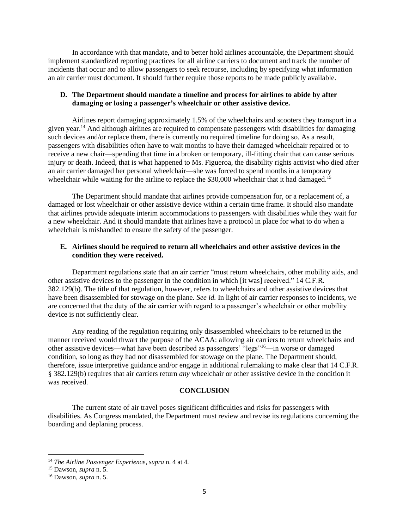In accordance with that mandate, and to better hold airlines accountable, the Department should implement standardized reporting practices for all airline carriers to document and track the number of incidents that occur and to allow passengers to seek recourse, including by specifying what information an air carrier must document. It should further require those reports to be made publicly available.

#### **D. The Department should mandate a timeline and process for airlines to abide by after damaging or losing a passenger's wheelchair or other assistive device.**

Airlines report damaging approximately 1.5% of the wheelchairs and scooters they transport in a given year.<sup>14</sup> And although airlines are required to compensate passengers with disabilities for damaging such devices and/or replace them, there is currently no required timeline for doing so. As a result, passengers with disabilities often have to wait months to have their damaged wheelchair repaired or to receive a new chair—spending that time in a broken or temporary, ill-fitting chair that can cause serious injury or death. Indeed, that is what happened to Ms. Figueroa, the disability rights activist who died after an air carrier damaged her personal wheelchair—she was forced to spend months in a temporary wheelchair while waiting for the airline to replace the \$30,000 wheelchair that it had damaged.<sup>15</sup>

The Department should mandate that airlines provide compensation for, or a replacement of, a damaged or lost wheelchair or other assistive device within a certain time frame. It should also mandate that airlines provide adequate interim accommodations to passengers with disabilities while they wait for a new wheelchair. And it should mandate that airlines have a protocol in place for what to do when a wheelchair is mishandled to ensure the safety of the passenger.

### **E. Airlines should be required to return all wheelchairs and other assistive devices in the condition they were received.**

Department regulations state that an air carrier "must return wheelchairs, other mobility aids, and other assistive devices to the passenger in the condition in which [it was] received." 14 C.F.R. 382.129(b). The title of that regulation, however, refers to wheelchairs and other assistive devices that have been disassembled for stowage on the plane. *See id.* In light of air carrier responses to incidents, we are concerned that the duty of the air carrier with regard to a passenger's wheelchair or other mobility device is not sufficiently clear.

Any reading of the regulation requiring only disassembled wheelchairs to be returned in the manner received would thwart the purpose of the ACAA: allowing air carriers to return wheelchairs and other assistive devices—what have been described as passengers' "legs"<sup>16</sup>—in worse or damaged condition, so long as they had not disassembled for stowage on the plane. The Department should, therefore, issue interpretive guidance and/or engage in additional rulemaking to make clear that 14 C.F.R. § 382.129(b) requires that air carriers return *any* wheelchair or other assistive device in the condition it was received.

#### **CONCLUSION**

The current state of air travel poses significant difficulties and risks for passengers with disabilities. As Congress mandated, the Department must review and revise its regulations concerning the boarding and deplaning process.

<sup>14</sup> *The Airline Passenger Experience*, *supra* n. 4 at 4.

<sup>15</sup> Dawson, *supra* n. 5.

<sup>16</sup> Dawson, *supra* n. 5.